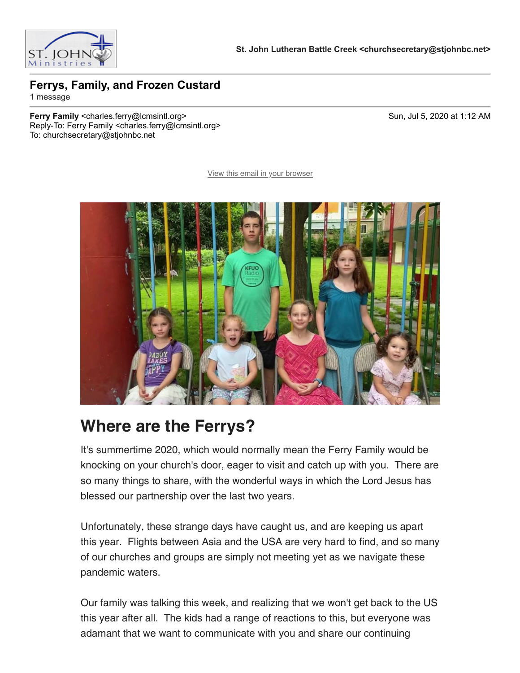

## **Ferrys, Family, and Frozen Custard**

1 message

**Ferry Family** <charles.ferry@lcmsintl.org> Sun, Jul 5, 2020 at 1:12 AM Reply-To: Ferry Family <charles.ferry@lcmsintl.org> To: churchsecretary@stjohnbc.net

[View this email in your browser](https://mailchi.mp/8acbd570381f/ferrys-family-and-frozen-custard?e=dcee41ed1b)



## **Where are the Ferrys?**

It's summertime 2020, which would normally mean the Ferry Family would be knocking on your church's door, eager to visit and catch up with you. There are so many things to share, with the wonderful ways in which the Lord Jesus has blessed our partnership over the last two years.

Unfortunately, these strange days have caught us, and are keeping us apart this year. Flights between Asia and the USA are very hard to find, and so many of our churches and groups are simply not meeting yet as we navigate these pandemic waters.

Our family was talking this week, and realizing that we won't get back to the US this year after all. The kids had a range of reactions to this, but everyone was adamant that we want to communicate with you and share our continuing